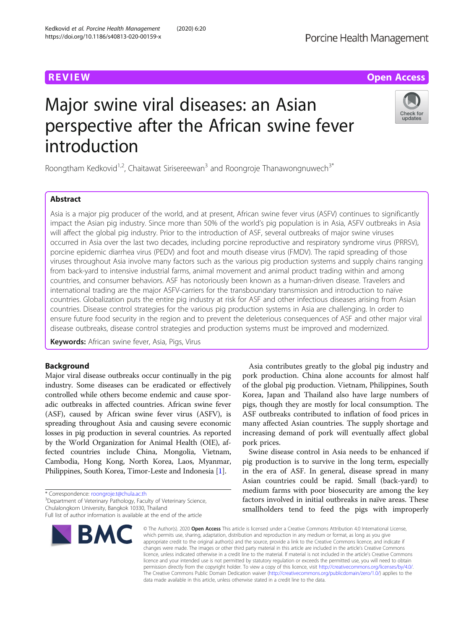# Major swine viral diseases: an Asian perspective after the African swine fever introduction

Roongtham Kedkovid<sup>1,2</sup>, Chaitawat Sirisereewan<sup>3</sup> and Roongroje Thanawongnuwech<sup>3\*</sup>

# Abstract

Asia is a major pig producer of the world, and at present, African swine fever virus (ASFV) continues to significantly impact the Asian pig industry. Since more than 50% of the world's pig population is in Asia, ASFV outbreaks in Asia will affect the global pig industry. Prior to the introduction of ASF, several outbreaks of major swine viruses occurred in Asia over the last two decades, including porcine reproductive and respiratory syndrome virus (PRRSV), porcine epidemic diarrhea virus (PEDV) and foot and mouth disease virus (FMDV). The rapid spreading of those viruses throughout Asia involve many factors such as the various pig production systems and supply chains ranging from back-yard to intensive industrial farms, animal movement and animal product trading within and among countries, and consumer behaviors. ASF has notoriously been known as a human-driven disease. Travelers and international trading are the major ASFV-carriers for the transboundary transmission and introduction to naïve countries. Globalization puts the entire pig industry at risk for ASF and other infectious diseases arising from Asian countries. Disease control strategies for the various pig production systems in Asia are challenging. In order to ensure future food security in the region and to prevent the deleterious consequences of ASF and other major viral disease outbreaks, disease control strategies and production systems must be improved and modernized.

Keywords: African swine fever, Asia, Pigs, Virus

# Background

Major viral disease outbreaks occur continually in the pig industry. Some diseases can be eradicated or effectively controlled while others become endemic and cause sporadic outbreaks in affected countries. African swine fever (ASF), caused by African swine fever virus (ASFV), is spreading throughout Asia and causing severe economic losses in pig production in several countries. As reported by the World Organization for Animal Health (OIE), affected countries include China, Mongolia, Vietnam, Cambodia, Hong Kong, North Korea, Laos, Myanmar, Philippines, South Korea, Timor-Leste and Indonesia [[1](#page-9-0)].

\* Correspondence: [roongroje.t@chula.ac.th](mailto:roongroje.t@chula.ac.th) <sup>3</sup>

**BMC** 

<sup>3</sup>Department of Veterinary Pathology, Faculty of Veterinary Science, Chulalongkorn University, Bangkok 10330, Thailand

pork production. China alone accounts for almost half of the global pig production. Vietnam, Philippines, South Korea, Japan and Thailand also have large numbers of pigs, though they are mostly for local consumption. The ASF outbreaks contributed to inflation of food prices in many affected Asian countries. The supply shortage and increasing demand of pork will eventually affect global pork prices. Swine disease control in Asia needs to be enhanced if

Asia contributes greatly to the global pig industry and

pig production is to survive in the long term, especially in the era of ASF. In general, disease spread in many Asian countries could be rapid. Small (back-yard) to medium farms with poor biosecurity are among the key factors involved in initial outbreaks in naïve areas. These smallholders tend to feed the pigs with improperly

which permits use, sharing, adaptation, distribution and reproduction in any medium or format, as long as you give appropriate credit to the original author(s) and the source, provide a link to the Creative Commons licence, and indicate if changes were made. The images or other third party material in this article are included in the article's Creative Commons licence, unless indicated otherwise in a credit line to the material. If material is not included in the article's Creative Commons licence and your intended use is not permitted by statutory regulation or exceeds the permitted use, you will need to obtain permission directly from the copyright holder. To view a copy of this licence, visit [http://creativecommons.org/licenses/by/4.0/.](http://creativecommons.org/licenses/by/4.0/) The Creative Commons Public Domain Dedication waiver [\(http://creativecommons.org/publicdomain/zero/1.0/](http://creativecommons.org/publicdomain/zero/1.0/)) applies to the data made available in this article, unless otherwise stated in a credit line to the data.

© The Author(s), 2020 **Open Access** This article is licensed under a Creative Commons Attribution 4.0 International License,





**REVIEW ACCESS AND LOCAL CONTRACT CONTRACT OF ACCESS** 

Full list of author information is available at the end of the article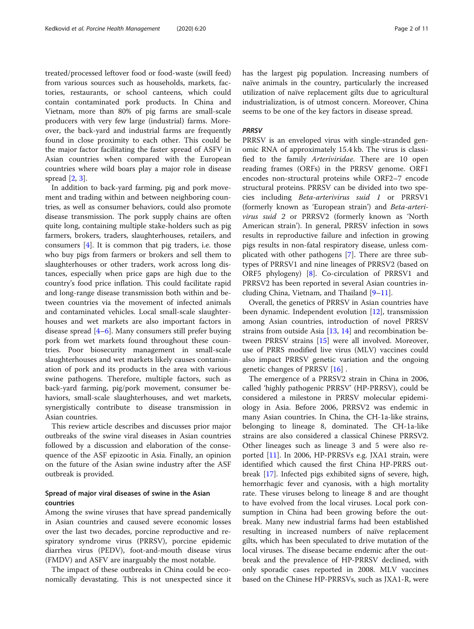treated/processed leftover food or food-waste (swill feed) from various sources such as households, markets, factories, restaurants, or school canteens, which could contain contaminated pork products. In China and Vietnam, more than 80% of pig farms are small-scale producers with very few large (industrial) farms. Moreover, the back-yard and industrial farms are frequently found in close proximity to each other. This could be the major factor facilitating the faster spread of ASFV in Asian countries when compared with the European countries where wild boars play a major role in disease spread [[2](#page-9-0), [3](#page-9-0)].

In addition to back-yard farming, pig and pork movement and trading within and between neighboring countries, as well as consumer behaviors, could also promote disease transmission. The pork supply chains are often quite long, containing multiple stake-holders such as pig farmers, brokers, traders, slaughterhouses, retailers, and consumers [[4\]](#page-9-0). It is common that pig traders, i.e. those who buy pigs from farmers or brokers and sell them to slaughterhouses or other traders, work across long distances, especially when price gaps are high due to the country's food price inflation. This could facilitate rapid and long-range disease transmission both within and between countries via the movement of infected animals and contaminated vehicles. Local small-scale slaughterhouses and wet markets are also important factors in disease spread [[4](#page-9-0)–[6\]](#page-9-0). Many consumers still prefer buying pork from wet markets found throughout these countries. Poor biosecurity management in small-scale slaughterhouses and wet markets likely causes contamination of pork and its products in the area with various swine pathogens. Therefore, multiple factors, such as back-yard farming, pig/pork movement, consumer behaviors, small-scale slaughterhouses, and wet markets, synergistically contribute to disease transmission in Asian countries.

This review article describes and discusses prior major outbreaks of the swine viral diseases in Asian countries followed by a discussion and elaboration of the consequence of the ASF epizootic in Asia. Finally, an opinion on the future of the Asian swine industry after the ASF outbreak is provided.

## Spread of major viral diseases of swine in the Asian countries

Among the swine viruses that have spread pandemically in Asian countries and caused severe economic losses over the last two decades, porcine reproductive and respiratory syndrome virus (PRRSV), porcine epidemic diarrhea virus (PEDV), foot-and-mouth disease virus (FMDV) and ASFV are inarguably the most notable.

The impact of these outbreaks in China could be economically devastating. This is not unexpected since it has the largest pig population. Increasing numbers of naïve animals in the country, particularly the increased utilization of naïve replacement gilts due to agricultural industrialization, is of utmost concern. Moreover, China seems to be one of the key factors in disease spread.

#### **PRRSV**

PRRSV is an enveloped virus with single-stranded genomic RNA of approximately 15.4 kb. The virus is classified to the family Arteriviridae. There are 10 open reading frames (ORFs) in the PRRSV genome. ORF1 encodes non-structural proteins while ORF2–7 encode structural proteins. PRRSV can be divided into two species including Beta-arterivirus suid 1 or PRRSV1 (formerly known as 'European strain') and Beta-arterivirus suid 2 or PRRSV2 (formerly known as 'North American strain'). In general, PRRSV infection in sows results in reproductive failure and infection in growing pigs results in non-fatal respiratory disease, unless complicated with other pathogens [[7\]](#page-9-0). There are three subtypes of PRRSV1 and nine lineages of PRRSV2 (based on ORF5 phylogeny) [\[8](#page-9-0)]. Co-circulation of PRRSV1 and PRRSV2 has been reported in several Asian countries including China, Vietnam, and Thailand [[9](#page-9-0)–[11](#page-9-0)].

Overall, the genetics of PRRSV in Asian countries have been dynamic. Independent evolution [[12\]](#page-9-0), transmission among Asian countries, introduction of novel PRRSV strains from outside Asia  $[13, 14]$  $[13, 14]$  $[13, 14]$  $[13, 14]$  and recombination between PRRSV strains [\[15\]](#page-9-0) were all involved. Moreover, use of PRRS modified live virus (MLV) vaccines could also impact PRRSV genetic variation and the ongoing genetic changes of PRRSV [\[16](#page-9-0)] .

The emergence of a PRRSV2 strain in China in 2006, called 'highly pathogenic PRRSV' (HP-PRRSV), could be considered a milestone in PRRSV molecular epidemiology in Asia. Before 2006, PRRSV2 was endemic in many Asian countries. In China, the CH-1a-like strains, belonging to lineage 8, dominated. The CH-1a-like strains are also considered a classical Chinese PRRSV2. Other lineages such as lineage 3 and 5 were also reported [\[11](#page-9-0)]. In 2006, HP-PRRSVs e.g. JXA1 strain, were identified which caused the first China HP-PRRS outbreak [\[17](#page-9-0)]. Infected pigs exhibited signs of severe, high, hemorrhagic fever and cyanosis, with a high mortality rate. These viruses belong to lineage 8 and are thought to have evolved from the local viruses. Local pork consumption in China had been growing before the outbreak. Many new industrial farms had been established resulting in increased numbers of naïve replacement gilts, which has been speculated to drive mutation of the local viruses. The disease became endemic after the outbreak and the prevalence of HP-PRRSV declined, with only sporadic cases reported in 2008. MLV vaccines based on the Chinese HP-PRRSVs, such as JXA1-R, were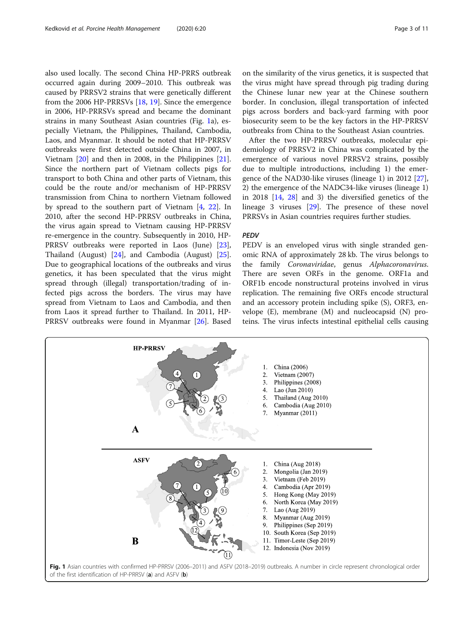<span id="page-2-0"></span>also used locally. The second China HP-PRRS outbreak occurred again during 2009–2010. This outbreak was caused by PRRSV2 strains that were genetically different from the 2006 HP-PRRSVs [\[18](#page-9-0), [19](#page-9-0)]. Since the emergence in 2006, HP-PRRSVs spread and became the dominant strains in many Southeast Asian countries (Fig. 1a), especially Vietnam, the Philippines, Thailand, Cambodia, Laos, and Myanmar. It should be noted that HP-PRRSV outbreaks were first detected outside China in 2007, in Vietnam [[20\]](#page-9-0) and then in 2008, in the Philippines [\[21](#page-9-0)]. Since the northern part of Vietnam collects pigs for transport to both China and other parts of Vietnam, this could be the route and/or mechanism of HP-PRRSV transmission from China to northern Vietnam followed by spread to the southern part of Vietnam [\[4](#page-9-0), [22\]](#page-9-0). In 2010, after the second HP-PRRSV outbreaks in China, the virus again spread to Vietnam causing HP-PRRSV re-emergence in the country. Subsequently in 2010, HP-PRRSV outbreaks were reported in Laos (June) [\[23](#page-9-0)], Thailand (August) [[24\]](#page-9-0), and Cambodia (August) [\[25](#page-9-0)]. Due to geographical locations of the outbreaks and virus genetics, it has been speculated that the virus might spread through (illegal) transportation/trading of infected pigs across the borders. The virus may have spread from Vietnam to Laos and Cambodia, and then from Laos it spread further to Thailand. In 2011, HP-PRRSV outbreaks were found in Myanmar [\[26](#page-9-0)]. Based on the similarity of the virus genetics, it is suspected that the virus might have spread through pig trading during the Chinese lunar new year at the Chinese southern border. In conclusion, illegal transportation of infected pigs across borders and back-yard farming with poor biosecurity seem to be the key factors in the HP-PRRSV outbreaks from China to the Southeast Asian countries.

After the two HP-PRRSV outbreaks, molecular epidemiology of PRRSV2 in China was complicated by the emergence of various novel PRRSV2 strains, possibly due to multiple introductions, including 1) the emergence of the NAD30-like viruses (lineage 1) in 2012 [\[27](#page-9-0)], 2) the emergence of the NADC34-like viruses (lineage 1) in 2018 [[14,](#page-9-0) [28](#page-9-0)] and 3) the diversified genetics of the lineage 3 viruses [\[29](#page-9-0)]. The presence of these novel PRRSVs in Asian countries requires further studies.

#### **PFDV**

PEDV is an enveloped virus with single stranded genomic RNA of approximately 28 kb. The virus belongs to the family Coronaviridae, genus Alphacoronavirus. There are seven ORFs in the genome. ORF1a and ORF1b encode nonstructural proteins involved in virus replication. The remaining five ORFs encode structural and an accessory protein including spike (S), ORF3, envelope (E), membrane (M) and nucleocapsid (N) proteins. The virus infects intestinal epithelial cells causing

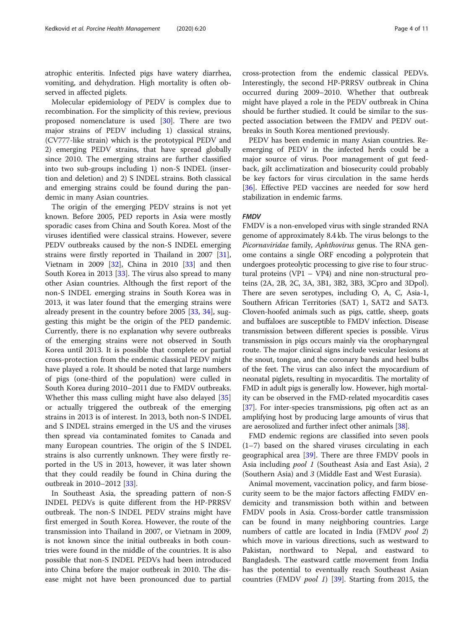atrophic enteritis. Infected pigs have watery diarrhea, vomiting, and dehydration. High mortality is often observed in affected piglets.

Molecular epidemiology of PEDV is complex due to recombination. For the simplicity of this review, previous proposed nomenclature is used [\[30](#page-9-0)]. There are two major strains of PEDV including 1) classical strains, (CV777-like strain) which is the prototypical PEDV and 2) emerging PEDV strains, that have spread globally since 2010. The emerging strains are further classified into two sub-groups including 1) non-S INDEL (insertion and deletion) and 2) S INDEL strains. Both classical and emerging strains could be found during the pandemic in many Asian countries.

The origin of the emerging PEDV strains is not yet known. Before 2005, PED reports in Asia were mostly sporadic cases from China and South Korea. Most of the viruses identified were classical strains. However, severe PEDV outbreaks caused by the non-S INDEL emerging strains were firstly reported in Thailand in 2007 [\[31](#page-9-0)], Vietnam in 2009 [[32](#page-9-0)], China in 2010 [[33\]](#page-9-0) and then South Korea in 2013 [[33\]](#page-9-0). The virus also spread to many other Asian countries. Although the first report of the non-S INDEL emerging strains in South Korea was in 2013, it was later found that the emerging strains were already present in the country before 2005 [\[33](#page-9-0), [34\]](#page-9-0), suggesting this might be the origin of the PED pandemic. Currently, there is no explanation why severe outbreaks of the emerging strains were not observed in South Korea until 2013. It is possible that complete or partial cross-protection from the endemic classical PEDV might have played a role. It should be noted that large numbers of pigs (one-third of the population) were culled in South Korea during 2010–2011 due to FMDV outbreaks. Whether this mass culling might have also delayed [[35](#page-9-0)] or actually triggered the outbreak of the emerging strains in 2013 is of interest. In 2013, both non-S INDEL and S INDEL strains emerged in the US and the viruses then spread via contaminated fomites to Canada and many European countries. The origin of the S INDEL strains is also currently unknown. They were firstly reported in the US in 2013, however, it was later shown that they could readily be found in China during the outbreak in 2010–2012 [[33\]](#page-9-0).

In Southeast Asia, the spreading pattern of non-S INDEL PEDVs is quite different from the HP-PRRSV outbreak. The non-S INDEL PEDV strains might have first emerged in South Korea. However, the route of the transmission into Thailand in 2007, or Vietnam in 2009, is not known since the initial outbreaks in both countries were found in the middle of the countries. It is also possible that non-S INDEL PEDVs had been introduced into China before the major outbreak in 2010. The disease might not have been pronounced due to partial

cross-protection from the endemic classical PEDVs. Interestingly, the second HP-PRRSV outbreak in China occurred during 2009–2010. Whether that outbreak might have played a role in the PEDV outbreak in China should be further studied. It could be similar to the suspected association between the FMDV and PEDV outbreaks in South Korea mentioned previously.

PEDV has been endemic in many Asian countries. Reemerging of PEDV in the infected herds could be a major source of virus. Poor management of gut feedback, gilt acclimatization and biosecurity could probably be key factors for virus circulation in the same herds [[36\]](#page-9-0). Effective PED vaccines are needed for sow herd stabilization in endemic farms.

## **FMDV**

FMDV is a non-enveloped virus with single stranded RNA genome of approximately 8.4 kb. The virus belongs to the Picornaviridae family, Aphthovirus genus. The RNA genome contains a single ORF encoding a polyprotein that undergoes proteolytic processing to give rise to four structural proteins (VP1 – VP4) and nine non-structural proteins (2A, 2B, 2C, 3A, 3B1, 3B2, 3B3, 3Cpro and 3Dpol). There are seven serotypes, including O, A, C, Asia-1, Southern African Territories (SAT) 1, SAT2 and SAT3. Cloven-hoofed animals such as pigs, cattle, sheep, goats and buffaloes are susceptible to FMDV infection. Disease transmission between different species is possible. Virus transmission in pigs occurs mainly via the oropharyngeal route. The major clinical signs include vesicular lesions at the snout, tongue, and the coronary bands and heel bulbs of the feet. The virus can also infect the myocardium of neonatal piglets, resulting in myocarditis. The mortality of FMD in adult pigs is generally low. However, high mortality can be observed in the FMD-related myocarditis cases [[37](#page-9-0)]. For inter-species transmissions, pig often act as an amplifying host by producing large amounts of virus that are aerosolized and further infect other animals [[38](#page-9-0)].

FMD endemic regions are classified into seven pools (1–7) based on the shared viruses circulating in each geographical area [\[39\]](#page-9-0). There are three FMDV pools in Asia including pool 1 (Southeast Asia and East Asia), 2 (Southern Asia) and 3 (Middle East and West Eurasia).

Animal movement, vaccination policy, and farm biosecurity seem to be the major factors affecting FMDV endemicity and transmission both within and between FMDV pools in Asia. Cross-border cattle transmission can be found in many neighboring countries. Large numbers of cattle are located in India (FMDV *pool 2*) which move in various directions, such as westward to Pakistan, northward to Nepal, and eastward to Bangladesh. The eastward cattle movement from India has the potential to eventually reach Southeast Asian countries (FMDV pool 1) [[39](#page-9-0)]. Starting from 2015, the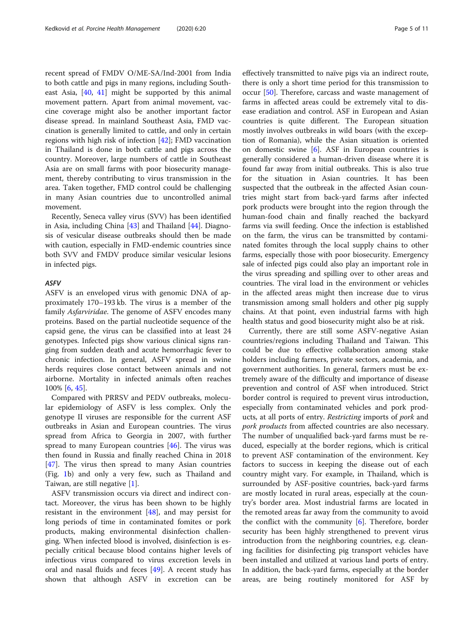recent spread of FMDV O/ME-SA/Ind-2001 from India to both cattle and pigs in many regions, including Southeast Asia, [\[40,](#page-9-0) [41\]](#page-10-0) might be supported by this animal movement pattern. Apart from animal movement, vaccine coverage might also be another important factor disease spread. In mainland Southeast Asia, FMD vaccination is generally limited to cattle, and only in certain regions with high risk of infection [[42\]](#page-10-0); FMD vaccination in Thailand is done in both cattle and pigs across the country. Moreover, large numbers of cattle in Southeast Asia are on small farms with poor biosecurity management, thereby contributing to virus transmission in the area. Taken together, FMD control could be challenging in many Asian countries due to uncontrolled animal movement.

Recently, Seneca valley virus (SVV) has been identified in Asia, including China [[43](#page-10-0)] and Thailand [\[44](#page-10-0)]. Diagnosis of vesicular disease outbreaks should then be made with caution, especially in FMD-endemic countries since both SVV and FMDV produce similar vesicular lesions in infected pigs.

#### ASFV

ASFV is an enveloped virus with genomic DNA of approximately 170–193 kb. The virus is a member of the family Asfarviridae. The genome of ASFV encodes many proteins. Based on the partial nucleotide sequence of the capsid gene, the virus can be classified into at least 24 genotypes. Infected pigs show various clinical signs ranging from sudden death and acute hemorrhagic fever to chronic infection. In general, ASFV spread in swine herds requires close contact between animals and not airborne. Mortality in infected animals often reaches 100% [\[6](#page-9-0), [45](#page-10-0)].

Compared with PRRSV and PEDV outbreaks, molecular epidemiology of ASFV is less complex. Only the genotype II viruses are responsible for the current ASF outbreaks in Asian and European countries. The virus spread from Africa to Georgia in 2007, with further spread to many European countries [[46\]](#page-10-0). The virus was then found in Russia and finally reached China in 2018 [[47\]](#page-10-0). The virus then spread to many Asian countries (Fig. [1b](#page-2-0)) and only a very few, such as Thailand and Taiwan, are still negative [[1\]](#page-9-0).

ASFV transmission occurs via direct and indirect contact. Moreover, the virus has been shown to be highly resistant in the environment [\[48](#page-10-0)], and may persist for long periods of time in contaminated fomites or pork products, making environmental disinfection challenging. When infected blood is involved, disinfection is especially critical because blood contains higher levels of infectious virus compared to virus excretion levels in oral and nasal fluids and feces [[49\]](#page-10-0). A recent study has shown that although ASFV in excretion can be

effectively transmitted to naïve pigs via an indirect route, there is only a short time period for this transmission to occur [\[50\]](#page-10-0). Therefore, carcass and waste management of farms in affected areas could be extremely vital to disease eradiation and control. ASF in European and Asian countries is quite different. The European situation mostly involves outbreaks in wild boars (with the exception of Romania), while the Asian situation is oriented on domestic swine [[6\]](#page-9-0). ASF in European countries is generally considered a human-driven disease where it is found far away from initial outbreaks. This is also true for the situation in Asian countries. It has been suspected that the outbreak in the affected Asian countries might start from back-yard farms after infected pork products were brought into the region through the human-food chain and finally reached the backyard farms via swill feeding. Once the infection is established on the farm, the virus can be transmitted by contaminated fomites through the local supply chains to other farms, especially those with poor biosecurity. Emergency sale of infected pigs could also play an important role in the virus spreading and spilling over to other areas and countries. The viral load in the environment or vehicles in the affected areas might then increase due to virus transmission among small holders and other pig supply chains. At that point, even industrial farms with high health status and good biosecurity might also be at risk.

Currently, there are still some ASFV-negative Asian countries/regions including Thailand and Taiwan. This could be due to effective collaboration among stake holders including farmers, private sectors, academia, and government authorities. In general, farmers must be extremely aware of the difficulty and importance of disease prevention and control of ASF when introduced. Strict border control is required to prevent virus introduction, especially from contaminated vehicles and pork products, at all ports of entry. Restricting imports of pork and pork products from affected countries are also necessary. The number of unqualified back-yard farms must be reduced, especially at the border regions, which is critical to prevent ASF contamination of the environment. Key factors to success in keeping the disease out of each country might vary. For example, in Thailand, which is surrounded by ASF-positive countries, back-yard farms are mostly located in rural areas, especially at the country's border area. Most industrial farms are located in the remoted areas far away from the community to avoid the conflict with the community  $[6]$  $[6]$ . Therefore, border security has been highly strengthened to prevent virus introduction from the neighboring countries, e.g. cleaning facilities for disinfecting pig transport vehicles have been installed and utilized at various land ports of entry. In addition, the back-yard farms, especially at the border areas, are being routinely monitored for ASF by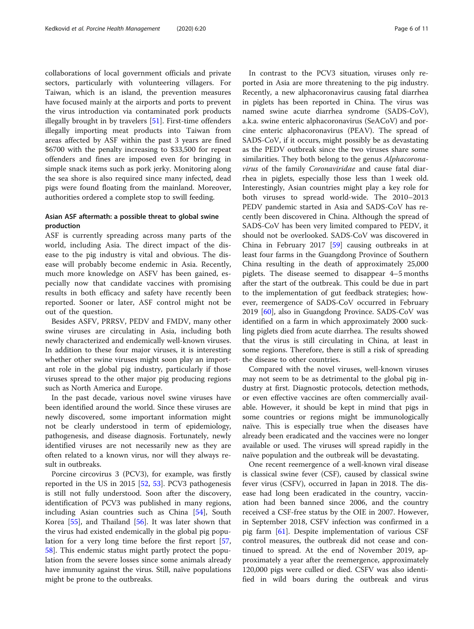collaborations of local government officials and private sectors, particularly with volunteering villagers. For Taiwan, which is an island, the prevention measures have focused mainly at the airports and ports to prevent the virus introduction via contaminated pork products illegally brought in by travelers [\[51\]](#page-10-0). First-time offenders illegally importing meat products into Taiwan from areas affected by ASF within the past 3 years are fined \$6700 with the penalty increasing to \$33,500 for repeat offenders and fines are imposed even for bringing in simple snack items such as pork jerky. Monitoring along the sea shore is also required since many infected, dead pigs were found floating from the mainland. Moreover, authorities ordered a complete stop to swill feeding.

## Asian ASF aftermath: a possible threat to global swine production

ASF is currently spreading across many parts of the world, including Asia. The direct impact of the disease to the pig industry is vital and obvious. The disease will probably become endemic in Asia. Recently, much more knowledge on ASFV has been gained, especially now that candidate vaccines with promising results in both efficacy and safety have recently been reported. Sooner or later, ASF control might not be out of the question.

Besides ASFV, PRRSV, PEDV and FMDV, many other swine viruses are circulating in Asia, including both newly characterized and endemically well-known viruses. In addition to these four major viruses, it is interesting whether other swine viruses might soon play an important role in the global pig industry, particularly if those viruses spread to the other major pig producing regions such as North America and Europe.

In the past decade, various novel swine viruses have been identified around the world. Since these viruses are newly discovered, some important information might not be clearly understood in term of epidemiology, pathogenesis, and disease diagnosis. Fortunately, newly identified viruses are not necessarily new as they are often related to a known virus, nor will they always result in outbreaks.

Porcine circovirus 3 (PCV3), for example, was firstly reported in the US in 2015 [[52,](#page-10-0) [53](#page-10-0)]. PCV3 pathogenesis is still not fully understood. Soon after the discovery, identification of PCV3 was published in many regions, including Asian countries such as China [[54](#page-10-0)], South Korea [\[55](#page-10-0)], and Thailand [\[56](#page-10-0)]. It was later shown that the virus had existed endemically in the global pig population for a very long time before the first report [[57](#page-10-0), [58\]](#page-10-0). This endemic status might partly protect the population from the severe losses since some animals already have immunity against the virus. Still, naïve populations might be prone to the outbreaks.

In contrast to the PCV3 situation, viruses only reported in Asia are more threatening to the pig industry. Recently, a new alphacoronavirus causing fatal diarrhea in piglets has been reported in China. The virus was named swine acute diarrhea syndrome (SADS-CoV), a.k.a. swine enteric alphacoronavirus (SeACoV) and porcine enteric alphacoronavirus (PEAV). The spread of SADS-CoV, if it occurs, might possibly be as devastating as the PEDV outbreak since the two viruses share some similarities. They both belong to the genus Alphacoronavirus of the family Coronaviridae and cause fatal diarrhea in piglets, especially those less than 1 week old. Interestingly, Asian countries might play a key role for both viruses to spread world-wide. The 2010–2013 PEDV pandemic started in Asia and SADS-CoV has recently been discovered in China. Although the spread of SADS-CoV has been very limited compared to PEDV, it should not be overlooked. SADS-CoV was discovered in China in February 2017 [[59\]](#page-10-0) causing outbreaks in at least four farms in the Guangdong Province of Southern China resulting in the death of approximately 25,000 piglets. The disease seemed to disappear 4–5 months after the start of the outbreak. This could be due in part to the implementation of gut feedback strategies; however, reemergence of SADS-CoV occurred in February 2019 [\[60](#page-10-0)], also in Guangdong Province. SADS-CoV was identified on a farm in which approximately 2000 suckling piglets died from acute diarrhea. The results showed that the virus is still circulating in China, at least in some regions. Therefore, there is still a risk of spreading the disease to other countries.

Compared with the novel viruses, well-known viruses may not seem to be as detrimental to the global pig industry at first. Diagnostic protocols, detection methods, or even effective vaccines are often commercially available. However, it should be kept in mind that pigs in some countries or regions might be immunologically naïve. This is especially true when the diseases have already been eradicated and the vaccines were no longer available or used. The viruses will spread rapidly in the naïve population and the outbreak will be devastating.

One recent reemergence of a well-known viral disease is classical swine fever (CSF), caused by classical swine fever virus (CSFV), occurred in Japan in 2018. The disease had long been eradicated in the country, vaccination had been banned since 2006, and the country received a CSF-free status by the OIE in 2007. However, in September 2018, CSFV infection was confirmed in a pig farm [\[61](#page-10-0)]. Despite implementation of various CSF control measures, the outbreak did not cease and continued to spread. At the end of November 2019, approximately a year after the reemergence, approximately 120,000 pigs were culled or died. CSFV was also identified in wild boars during the outbreak and virus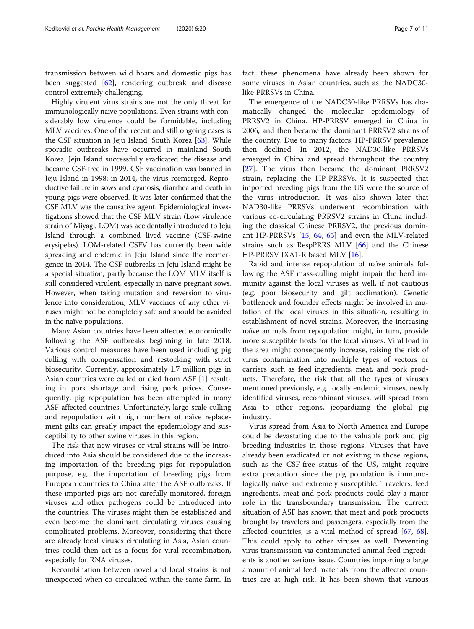transmission between wild boars and domestic pigs has been suggested [\[62\]](#page-10-0), rendering outbreak and disease control extremely challenging.

Highly virulent virus strains are not the only threat for immunologically naïve populations. Even strains with considerably low virulence could be formidable, including MLV vaccines. One of the recent and still ongoing cases is the CSF situation in Jeju Island, South Korea [[63](#page-10-0)]. While sporadic outbreaks have occurred in mainland South Korea, Jeju Island successfully eradicated the disease and became CSF-free in 1999. CSF vaccination was banned in Jeju Island in 1998; in 2014, the virus reemerged. Reproductive failure in sows and cyanosis, diarrhea and death in young pigs were observed. It was later confirmed that the CSF MLV was the causative agent. Epidemiological investigations showed that the CSF MLV strain (Low virulence strain of Miyagi, LOM) was accidentally introduced to Jeju Island through a combined lived vaccine (CSF-swine erysipelas). LOM-related CSFV has currently been wide spreading and endemic in Jeju Island since the reemergence in 2014. The CSF outbreaks in Jeju Island might be a special situation, partly because the LOM MLV itself is still considered virulent, especially in naïve pregnant sows. However, when taking mutation and reversion to virulence into consideration, MLV vaccines of any other viruses might not be completely safe and should be avoided in the naïve populations.

Many Asian countries have been affected economically following the ASF outbreaks beginning in late 2018. Various control measures have been used including pig culling with compensation and restocking with strict biosecurity. Currently, approximately 1.7 million pigs in Asian countries were culled or died from ASF [[1\]](#page-9-0) resulting in pork shortage and rising pork prices. Consequently, pig repopulation has been attempted in many ASF-affected countries. Unfortunately, large-scale culling and repopulation with high numbers of naïve replacement gilts can greatly impact the epidemiology and susceptibility to other swine viruses in this region.

The risk that new viruses or viral strains will be introduced into Asia should be considered due to the increasing importation of the breeding pigs for repopulation purpose, e.g. the importation of breeding pigs from European countries to China after the ASF outbreaks. If these imported pigs are not carefully monitored, foreign viruses and other pathogens could be introduced into the countries. The viruses might then be established and even become the dominant circulating viruses causing complicated problems. Moreover, considering that there are already local viruses circulating in Asia, Asian countries could then act as a focus for viral recombination, especially for RNA viruses.

Recombination between novel and local strains is not unexpected when co-circulated within the same farm. In

fact, these phenomena have already been shown for some viruses in Asian countries, such as the NADC30 like PRRSVs in China.

The emergence of the NADC30-like PRRSVs has dramatically changed the molecular epidemiology of PRRSV2 in China. HP-PRRSV emerged in China in 2006, and then became the dominant PRRSV2 strains of the country. Due to many factors, HP-PRRSV prevalence then declined. In 2012, the NAD30-like PRRSVs emerged in China and spread throughout the country [[27\]](#page-9-0). The virus then became the dominant PRRSV2 strain, replacing the HP-PRRSVs. It is suspected that imported breeding pigs from the US were the source of the virus introduction. It was also shown later that NAD30-like PRRSVs underwent recombination with various co-circulating PRRSV2 strains in China including the classical Chinese PRRSV2, the previous dominant HP-PRRSVs [[15](#page-9-0), [64](#page-10-0), [65](#page-10-0)] and even the MLV-related strains such as RespPRRS MLV [\[66\]](#page-10-0) and the Chinese HP-PRRSV JXA1-R based MLV [\[16](#page-9-0)].

Rapid and intense repopulation of naïve animals following the ASF mass-culling might impair the herd immunity against the local viruses as well, if not cautious (e.g. poor biosecurity and gilt acclimation). Genetic bottleneck and founder effects might be involved in mutation of the local viruses in this situation, resulting in establishment of novel strains. Moreover, the increasing naïve animals from repopulation might, in turn, provide more susceptible hosts for the local viruses. Viral load in the area might consequently increase, raising the risk of virus contamination into multiple types of vectors or carriers such as feed ingredients, meat, and pork products. Therefore, the risk that all the types of viruses mentioned previously, e.g. locally endemic viruses, newly identified viruses, recombinant viruses, will spread from Asia to other regions, jeopardizing the global pig industry.

Virus spread from Asia to North America and Europe could be devastating due to the valuable pork and pig breeding industries in those regions. Viruses that have already been eradicated or not existing in those regions, such as the CSF-free status of the US, might require extra precaution since the pig population is immunologically naïve and extremely susceptible. Travelers, feed ingredients, meat and pork products could play a major role in the transboundary transmission. The current situation of ASF has shown that meat and pork products brought by travelers and passengers, especially from the affected countries, is a vital method of spread [\[67](#page-10-0), [68](#page-10-0)]. This could apply to other viruses as well. Preventing virus transmission via contaminated animal feed ingredients is another serious issue. Countries importing a large amount of animal feed materials from the affected countries are at high risk. It has been shown that various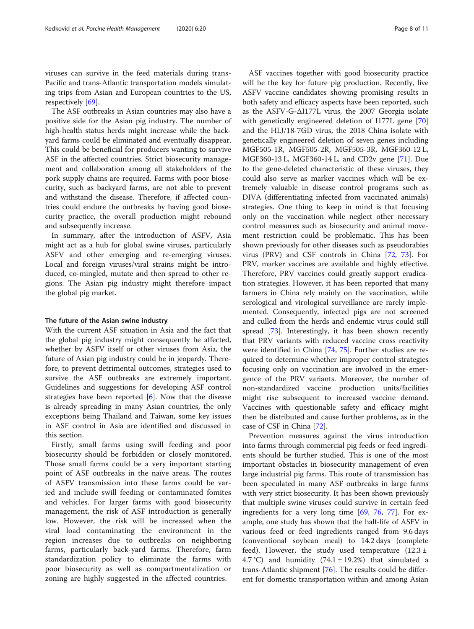viruses can survive in the feed materials during trans-Pacific and trans-Atlantic transportation models simulating trips from Asian and European countries to the US, respectively [\[69](#page-10-0)].

The ASF outbreaks in Asian countries may also have a positive side for the Asian pig industry. The number of high-health status herds might increase while the backyard farms could be eliminated and eventually disappear. This could be beneficial for producers wanting to survive ASF in the affected countries. Strict biosecurity management and collaboration among all stakeholders of the pork supply chains are required. Farms with poor biosecurity, such as backyard farms, are not able to prevent and withstand the disease. Therefore, if affected countries could endure the outbreaks by having good biosecurity practice, the overall production might rebound and subsequently increase.

In summary, after the introduction of ASFV, Asia might act as a hub for global swine viruses, particularly ASFV and other emerging and re-emerging viruses. Local and foreign viruses/viral strains might be introduced, co-mingled, mutate and then spread to other regions. The Asian pig industry might therefore impact the global pig market.

#### The future of the Asian swine industry

With the current ASF situation in Asia and the fact that the global pig industry might consequently be affected, whether by ASFV itself or other viruses from Asia, the future of Asian pig industry could be in jeopardy. Therefore, to prevent detrimental outcomes, strategies used to survive the ASF outbreaks are extremely important. Guidelines and suggestions for developing ASF control strategies have been reported  $[6]$ . Now that the disease is already spreading in many Asian countries, the only exceptions being Thailand and Taiwan, some key issues in ASF control in Asia are identified and discussed in this section.

Firstly, small farms using swill feeding and poor biosecurity should be forbidden or closely monitored. Those small farms could be a very important starting point of ASF outbreaks in the naïve areas. The routes of ASFV transmission into these farms could be varied and include swill feeding or contaminated fomites and vehicles. For larger farms with good biosecurity management, the risk of ASF introduction is generally low. However, the risk will be increased when the viral load contaminating the environment in the region increases due to outbreaks on neighboring farms, particularly back-yard farms. Therefore, farm standardization policy to eliminate the farms with poor biosecurity as well as compartmentalization or zoning are highly suggested in the affected countries.

ASF vaccines together with good biosecurity practice will be the key for future pig production. Recently, live ASFV vaccine candidates showing promising results in both safety and efficacy aspects have been reported, such as the ASFV-G-ΔI177L virus, the 2007 Georgia isolate with genetically engineered deletion of I177L gene [[70](#page-10-0)] and the HLJ/18-7GD virus, the 2018 China isolate with genetically engineered deletion of seven genes including MGF505-1R, MGF505-2R, MGF505-3R, MGF360-12 L, MGF360-13 L, MGF360-14 L, and CD2v gene [[71\]](#page-10-0). Due to the gene-deleted characteristic of these viruses, they could also serve as marker vaccines which will be extremely valuable in disease control programs such as DIVA (differentiating infected from vaccinated animals) strategies. One thing to keep in mind is that focusing only on the vaccination while neglect other necessary control measures such as biosecurity and animal movement restriction could be problematic. This has been shown previously for other diseases such as pseudorabies virus (PRV) and CSF controls in China [[72,](#page-10-0) [73](#page-10-0)]. For PRV, marker vaccines are available and highly effective. Therefore, PRV vaccines could greatly support eradication strategies. However, it has been reported that many farmers in China rely mainly on the vaccination, while serological and virological surveillance are rarely implemented. Consequently, infected pigs are not screened and culled from the herds and endemic virus could still spread [\[73\]](#page-10-0). Interestingly, it has been shown recently that PRV variants with reduced vaccine cross reactivity were identified in China [\[74](#page-10-0), [75\]](#page-10-0). Further studies are required to determine whether improper control strategies focusing only on vaccination are involved in the emergence of the PRV variants. Moreover, the number of non-standardized vaccine production units/facilities might rise subsequent to increased vaccine demand. Vaccines with questionable safety and efficacy might then be distributed and cause further problems, as in the case of CSF in China [[72](#page-10-0)].

Prevention measures against the virus introduction into farms through commercial pig feeds or feed ingredients should be further studied. This is one of the most important obstacles in biosecurity management of even large industrial pig farms. This route of transmission has been speculated in many ASF outbreaks in large farms with very strict biosecurity. It has been shown previously that multiple swine viruses could survive in certain feed ingredients for a very long time [[69](#page-10-0), [76](#page-10-0), [77](#page-10-0)]. For example, one study has shown that the half-life of ASFV in various feed or feed ingredients ranged from 9.6 days (conventional soybean meal) to 14.2 days (complete feed). However, the study used temperature  $(12.3 \pm 1)$ 4.7 °C) and humidity  $(74.1 \pm 19.2\%)$  that simulated a trans-Atlantic shipment [\[76](#page-10-0)]. The results could be different for domestic transportation within and among Asian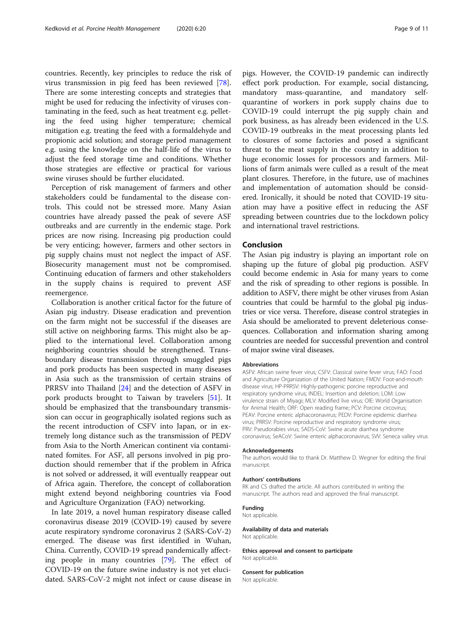countries. Recently, key principles to reduce the risk of virus transmission in pig feed has been reviewed [\[78](#page-10-0)]. There are some interesting concepts and strategies that might be used for reducing the infectivity of viruses contaminating in the feed, such as heat treatment e.g. pelleting the feed using higher temperature; chemical mitigation e.g. treating the feed with a formaldehyde and propionic acid solution; and storage period management e.g. using the knowledge on the half-life of the virus to adjust the feed storage time and conditions. Whether those strategies are effective or practical for various swine viruses should be further elucidated.

Perception of risk management of farmers and other stakeholders could be fundamental to the disease controls. This could not be stressed more. Many Asian countries have already passed the peak of severe ASF outbreaks and are currently in the endemic stage. Pork prices are now rising. Increasing pig production could be very enticing; however, farmers and other sectors in pig supply chains must not neglect the impact of ASF. Biosecurity management must not be compromised. Continuing education of farmers and other stakeholders in the supply chains is required to prevent ASF reemergence.

Collaboration is another critical factor for the future of Asian pig industry. Disease eradication and prevention on the farm might not be successful if the diseases are still active on neighboring farms. This might also be applied to the international level. Collaboration among neighboring countries should be strengthened. Transboundary disease transmission through smuggled pigs and pork products has been suspected in many diseases in Asia such as the transmission of certain strains of PRRSV into Thailand [[24\]](#page-9-0) and the detection of ASFV in pork products brought to Taiwan by travelers [\[51\]](#page-10-0). It should be emphasized that the transboundary transmission can occur in geographically isolated regions such as the recent introduction of CSFV into Japan, or in extremely long distance such as the transmission of PEDV from Asia to the North American continent via contaminated fomites. For ASF, all persons involved in pig production should remember that if the problem in Africa is not solved or addressed, it will eventually reappear out of Africa again. Therefore, the concept of collaboration might extend beyond neighboring countries via Food and Agriculture Organization (FAO) networking.

In late 2019, a novel human respiratory disease called coronavirus disease 2019 (COVID-19) caused by severe acute respiratory syndrome coronavirus 2 (SARS-CoV-2) emerged. The disease was first identified in Wuhan, China. Currently, COVID-19 spread pandemically affecting people in many countries [\[79\]](#page-10-0). The effect of COVID-19 on the future swine industry is not yet elucidated. SARS-CoV-2 might not infect or cause disease in

pigs. However, the COVID-19 pandemic can indirectly effect pork production. For example, social distancing, mandatory mass-quarantine, and mandatory selfquarantine of workers in pork supply chains due to COVID-19 could interrupt the pig supply chain and pork business, as has already been evidenced in the U.S. COVID-19 outbreaks in the meat processing plants led to closures of some factories and posed a significant threat to the meat supply in the country in addition to huge economic losses for processors and farmers. Millions of farm animals were culled as a result of the meat plant closures. Therefore, in the future, use of machines and implementation of automation should be considered. Ironically, it should be noted that COVID-19 situation may have a positive effect in reducing the ASF spreading between countries due to the lockdown policy

#### Conclusion

and international travel restrictions.

The Asian pig industry is playing an important role on shaping up the future of global pig production. ASFV could become endemic in Asia for many years to come and the risk of spreading to other regions is possible. In addition to ASFV, there might be other viruses from Asian countries that could be harmful to the global pig industries or vice versa. Therefore, disease control strategies in Asia should be ameliorated to prevent deleterious consequences. Collaboration and information sharing among countries are needed for successful prevention and control of major swine viral diseases.

#### Abbreviations

ASFV: African swine fever virus; CSFV: Classical swine fever virus; FAO: Food and Agriculture Organization of the United Nation; FMDV: Foot-and-mouth disease virus; HP-PRRSV: Highly-pathogenic porcine reproductive and respiratory syndrome virus; INDEL: Insertion and deletion; LOM: Low virulence strain of Miyagi; MLV: Modified live virus; OIE: World Organisation for Animal Health; ORF: Open reading frame; PCV: Porcine circovirus; PEAV: Porcine enteric alphacoronavirus; PEDV: Porcine epidemic diarrhea virus; PRRSV: Porcine reproductive and respiratory syndrome virus; PRV: Pseudorabies virus; SADS-CoV: Swine acute diarrhea syndrome coronavirus; SeACoV: Swine enteric alphacoronavirus; SVV: Seneca valley virus

#### Acknowledgements

The authors would like to thank Dr. Matthew D. Wegner for editing the final manuscript.

#### Authors' contributions

RK and CS drafted the article. All authors contributed in writing the manuscript. The authors read and approved the final manuscript.

#### Funding

Not applicable.

#### Availability of data and materials

Not applicable.

Ethics approval and consent to participate Not applicable.

#### Consent for publication

Not applicable.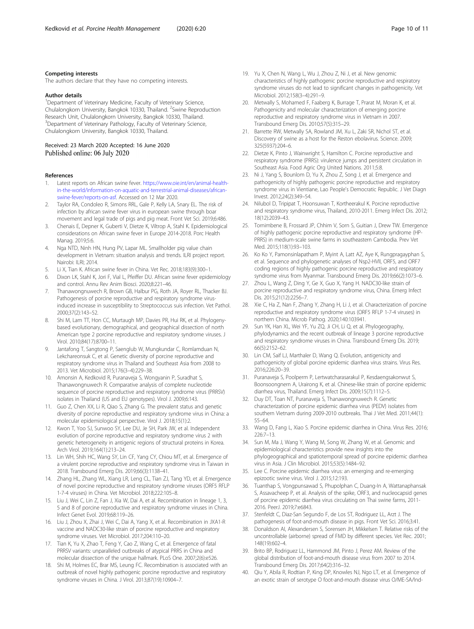### <span id="page-9-0"></span>Competing interests

The authors declare that they have no competing interests.

#### Author details

<sup>1</sup>Department of Veterinary Medicine, Faculty of Veterinary Science, Chulalongkorn University, Bangkok 10330, Thailand. <sup>2</sup>Swine Reproduction Research Unit, Chulalongkorn University, Bangkok 10330, Thailand. <sup>3</sup>Department of Veterinary Pathology, Faculty of Veterinary Science, Chulalongkorn University, Bangkok 10330, Thailand.

#### Received: 23 March 2020 Accepted: 16 June 2020 Published online: 06 July 2020

#### References

- 1. Latest reports on African swine fever. [https://www.oie.int/en/animal-health](https://www.oie.int/en/animal-health-in-the-world/information-on-aquatic-and-terrestrial-animal-diseases/african-swine-fever/reports-on-asf)[in-the-world/information-on-aquatic-and-terrestrial-animal-diseases/african](https://www.oie.int/en/animal-health-in-the-world/information-on-aquatic-and-terrestrial-animal-diseases/african-swine-fever/reports-on-asf)[swine-fever/reports-on-asf.](https://www.oie.int/en/animal-health-in-the-world/information-on-aquatic-and-terrestrial-animal-diseases/african-swine-fever/reports-on-asf) Accessed on 12 Mar 2020.
- 2. Taylor RA, Condoleo R, Simons RRL, Gale P, Kelly LA, Snary EL. The risk of infection by african swine fever virus in european swine through boar movement and legal trade of pigs and pig meat. Front Vet Sci. 2019;6:486.
- 3. Chenais E, Depner K, Guberti V, Dietze K, Viltrop A, Stahl K. Epidemiological considerations on African swine fever in Europe 2014-2018. Porc Health Manag. 2019;5:6.
- 4. Nga NTD, Ninh HN, Hung PV, Lapar ML. Smallholder pig value chain development in Vietnam: situation analysis and trends. ILRI project report. Nairobi: ILRI; 2014.
- 5. Li X, Tian K. African swine fever in China. Vet Rec. 2018;183(9):300–1.
- 6. Dixon LK, Stahl K, Jori F, Vial L, Pfeiffer DU. African swine fever epidemiology and control. Annu Rev Anim Biosci. 2020;8:221–46.
- Thanawongnuwech R, Brown GB, Halbur PG, Roth JA, Royer RL, Thacker BJ. Pathogenesis of porcine reproductive and respiratory syndrome virusinduced increase in susceptibility to Streptococcus suis infection. Vet Pathol. 2000;37(2):143–52.
- 8. Shi M, Lam TT, Hon CC, Murtaugh MP, Davies PR, Hui RK, et al. Phylogenybased evolutionary, demographical, and geographical dissection of north American type 2 porcine reproductive and respiratory syndrome viruses. J Virol. 2010;84(17):8700–11.
- 9. Jantafong T, Sangtong P, Saenglub W, Mungkundar C, Romlamduan N, Lekchareonsuk C, et al. Genetic diversity of porcine reproductive and respiratory syndrome virus in Thailand and Southeast Asia from 2008 to 2013. Vet Microbiol. 2015;176(3–4):229–38.
- 10. Amonsin A, Kedkovid R, Puranaveja S, Wongyanin P, Suradhat S, Thanawongnuwech R. Comparative analysis of complete nucleotide sequence of porcine reproductive and respiratory syndrome virus (PRRSV) isolates in Thailand (US and EU genotypes). Virol J. 2009;6:143.
- 11. Guo Z, Chen XX, Li R, Qiao S, Zhang G. The prevalent status and genetic diversity of porcine reproductive and respiratory syndrome virus in China: a molecular epidemiological perspective. Virol J. 2018;15(1):2.
- 12. Kwon T, Yoo SJ, Sunwoo SY, Lee DU, Je SH, Park JW, et al. Independent evolution of porcine reproductive and respiratory syndrome virus 2 with genetic heterogeneity in antigenic regions of structural proteins in Korea. Arch Virol. 2019;164(1):213–24.
- 13. Lin WH, Shih HC, Wang SY, Lin CF, Yang CY, Chiou MT, et al. Emergence of a virulent porcine reproductive and respiratory syndrome virus in Taiwan in 2018. Transbound Emerg Dis. 2019;66(3):1138–41.
- 14. Zhang HL, Zhang WL, Xiang LR, Leng CL, Tian ZJ, Tang YD, et al. Emergence of novel porcine reproductive and respiratory syndrome viruses (ORF5 RFLP 1-7-4 viruses) in China. Vet Microbiol. 2018;222:105–8.
- 15. Liu J, Wei C, Lin Z, Fan J, Xia W, Dai A, et al. Recombination in lineage 1, 3, 5 and 8 of porcine reproductive and respiratory syndrome viruses in China. Infect Genet Evol. 2019;68:119–26.
- 16. Liu J, Zhou X, Zhai J, Wei C, Dai A, Yang X, et al. Recombination in JXA1-R vaccine and NADC30-like strain of porcine reproductive and respiratory syndrome viruses. Vet Microbiol. 2017;204:110–20.
- 17. Tian K, Yu X, Zhao T, Feng Y, Cao Z, Wang C, et al. Emergence of fatal PRRSV variants: unparalleled outbreaks of atypical PRRS in China and molecular dissection of the unique hallmark. PLoS One. 2007;2(6):e526.
- 18. Shi M, Holmes EC, Brar MS, Leung FC. Recombination is associated with an outbreak of novel highly pathogenic porcine reproductive and respiratory syndrome viruses in China. J Virol. 2013;87(19):10904–7.
- 19. Yu X, Chen N, Wang L, Wu J, Zhou Z, Ni J, et al. New genomic characteristics of highly pathogenic porcine reproductive and respiratory syndrome viruses do not lead to significant changes in pathogenicity. Vet Microbiol. 2012;158(3–4):291–9.
- 20. Metwally S, Mohamed F, Faaberg K, Burrage T, Prarat M, Moran K, et al. Pathogenicity and molecular characterization of emerging porcine reproductive and respiratory syndrome virus in Vietnam in 2007. Transbound Emerg Dis. 2010;57(5):315–29.
- 21. Barrette RW, Metwally SA, Rowland JM, Xu L, Zaki SR, Nichol ST, et al. Discovery of swine as a host for the Reston ebolavirus. Science. 2009; 325(5937):204–6.
- 22. Dietze K, Pinto J, Wainwright S, Hamilton C, Porcine reproductive and respiratory syndrome (PRRS): virulence jumps and persistent circulation in Southeast Asia. Food Agric Org United Nations. 2011;5:8.
- 23. Ni J, Yang S, Bounlom D, Yu X, Zhou Z, Song J, et al. Emergence and pathogenicity of highly pathogenic porcine reproductive and respiratory syndrome virus in Vientiane, Lao People's Democratic Republic. J Vet Diagn Invest. 2012;24(2):349–54.
- 24. Nilubol D, Tripipat T, Hoonsuwan T, Kortheerakul K. Porcine reproductive and respiratory syndrome virus, Thailand, 2010-2011. Emerg Infect Dis. 2012; 18(12):2039–43.
- 25. Tornimbene B, Frossard JP, Chhim V, Sorn S, Guitian J, Drew TW. Emergence of highly pathogenic porcine reproductive and respiratory syndrome (HP-PRRS) in medium-scale swine farms in southeastern Cambodia. Prev Vet Med. 2015;118(1):93–103.
- 26. Ko Ko Y, Pamonsinlapatham P, Myint A, Latt AZ, Aye K, Rungpragayphan S, et al. Sequence and phylogenetic analyses of Nsp2-HVII, ORF5, and ORF7 coding regions of highly pathogenic porcine reproductive and respiratory syndrome virus from Myanmar. Transbound Emerg Dis. 2019;66(2):1073–6.
- 27. Zhou L, Wang Z, Ding Y, Ge X, Guo X, Yang H. NADC30-like strain of porcine reproductive and respiratory syndrome virus, China. Emerg Infect Dis. 2015;21(12):2256–7.
- 28. Xie C, Ha Z, Nan F, Zhang Y, Zhang H, Li J, et al. Characterization of porcine reproductive and respiratory syndrome virus (ORF5 RFLP 1-7-4 viruses) in northern China. Microb Pathog. 2020;140:103941.
- 29. Sun YK, Han XL, Wei YF, Yu ZQ, Ji CH, Li Q, et al. Phylogeography, phylodynamics and the recent outbreak of lineage 3 porcine reproductive and respiratory syndrome viruses in China. Transbound Emerg Dis. 2019; 66(5):2152–62.
- 30. Lin CM, Saif LJ, Marthaler D, Wang Q. Evolution, antigenicity and pathogenicity of global porcine epidemic diarrhea virus strains. Virus Res. 2016;226:20–39.
- 31. Puranaveja S, Poolperm P, Lertwatcharasarakul P, Kesdaengsakonwut S, Boonsoongnern A, Urairong K, et al. Chinese-like strain of porcine epidemic diarrhea virus, Thailand. Emerg Infect Dis. 2009;15(7):1112–5.
- 32. Duy DT, Toan NT, Puranaveja S, Thanawongnuwech R. Genetic characterization of porcine epidemic diarrhea virus (PEDV) isolates from southern Vietnam during 2009-2010 outbreaks. Thai J Vet Med. 2011;44(1): 55–64.
- 33. Wang D, Fang L, Xiao S. Porcine epidemic diarrhea in China. Virus Res. 2016; 226:7–13.
- 34. Sun M, Ma J, Wang Y, Wang M, Song W, Zhang W, et al. Genomic and epidemiological characteristics provide new insights into the phylogeographical and spatiotemporal spread of porcine epidemic diarrhea virus in Asia. J Clin Microbiol. 2015;53(5):1484–92.
- 35. Lee C. Porcine epidemic diarrhea virus: an emerging and re-emerging epizootic swine virus. Virol J. 2015;12:193.
- 36. Tuanthap S, Vongpunsawad S, Phupolphan C, Duang-In A, Wattanaphansak S, Assavacheep P, et al. Analysis of the spike, ORF3, and nucleocapsid genes of porcine epidemic diarrhea virus circulating on Thai swine farms, 2011- 2016. PeerJ. 2019;7:e6843.
- 37. Stenfeldt C, Diaz-San Segundo F, de Los ST, Rodriguez LL, Arzt J. The pathogenesis of foot-and-mouth disease in pigs. Front Vet Sci. 2016;3:41.
- 38. Donaldson AI, Alexandersen S, Sorensen JH, Mikkelsen T. Relative risks of the uncontrollable (airborne) spread of FMD by different species. Vet Rec. 2001; 148(19):602–4.
- 39. Brito BP, Rodriguez LL, Hammond JM, Pinto J, Perez AM. Review of the global distribution of foot-and-mouth disease virus from 2007 to 2014. Transbound Emerg Dis. 2017;64(2):316–32.
- 40. Qiu Y, Abila R, Rodtian P, King DP, Knowles NJ, Ngo LT, et al. Emergence of an exotic strain of serotype O foot-and-mouth disease virus O/ME-SA/Ind-